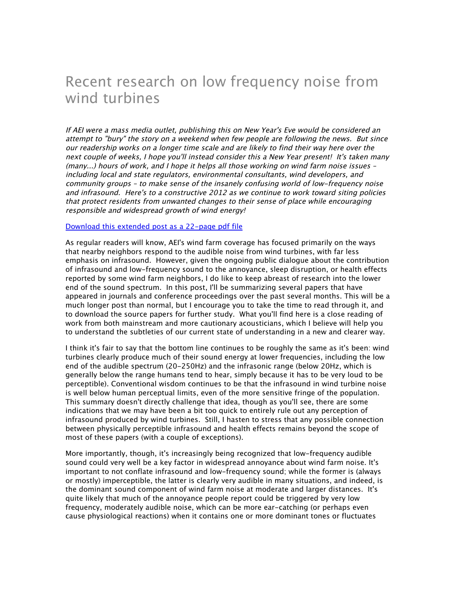# Recent research on low frequency noise from wind turbines

If AEI were a mass media outlet, publishing this on New Year's Eve would be considered an attempt to "bury" the story on a weekend when few people are following the news. But since our readership works on a longer time scale and are likely to find their way here over the next couple of weeks, I hope you'll instead consider this a New Year present! It's taken many (many...) hours of work, and I hope it helps all those working on wind farm noise issues – including local and state regulators, environmental consultants, wind developers, and community groups – to make sense of the insanely confusing world of low-frequency noise and infrasound. Here's to a constructive 2012 as we continue to work toward siting policies that protect residents from unwanted changes to their sense of place while encouraging responsible and widespread growth of wind energy!

#### Download this extended post as a 22-page pdf file

As regular readers will know, AEI's wind farm coverage has focused primarily on the ways that nearby neighbors respond to the audible noise from wind turbines, with far less emphasis on infrasound. However, given the ongoing public dialogue about the contribution of infrasound and low-frequency sound to the annoyance, sleep disruption, or health effects reported by some wind farm neighbors, I do like to keep abreast of research into the lower end of the sound spectrum. In this post, I'll be summarizing several papers that have appeared in journals and conference proceedings over the past several months. This will be a much longer post than normal, but I encourage you to take the time to read through it, and to download the source papers for further study. What you'll find here is a close reading of work from both mainstream and more cautionary acousticians, which I believe will help you to understand the subtleties of our current state of understanding in a new and clearer way.

I think it's fair to say that the bottom line continues to be roughly the same as it's been: wind turbines clearly produce much of their sound energy at lower frequencies, including the low end of the audible spectrum (20-250Hz) and the infrasonic range (below 20Hz, which is generally below the range humans tend to hear, simply because it has to be very loud to be perceptible). Conventional wisdom continues to be that the infrasound in wind turbine noise is well below human perceptual limits, even of the more sensitive fringe of the population. This summary doesn't directly challenge that idea, though as you'll see, there are some indications that we may have been a bit too quick to entirely rule out any perception of infrasound produced by wind turbines. Still, I hasten to stress that any possible connection between physically perceptible infrasound and health effects remains beyond the scope of most of these papers (with a couple of exceptions).

More importantly, though, it's increasingly being recognized that low-frequency audible sound could very well be a key factor in widespread annoyance about wind farm noise. It's important to not conflate infrasound and low-frequency sound; while the former is (always or mostly) imperceptible, the latter is clearly very audible in many situations, and indeed, is the dominant sound component of wind farm noise at moderate and larger distances. It's quite likely that much of the annoyance people report could be triggered by very low frequency, moderately audible noise, which can be more ear-catching (or perhaps even cause physiological reactions) when it contains one or more dominant tones or fluctuates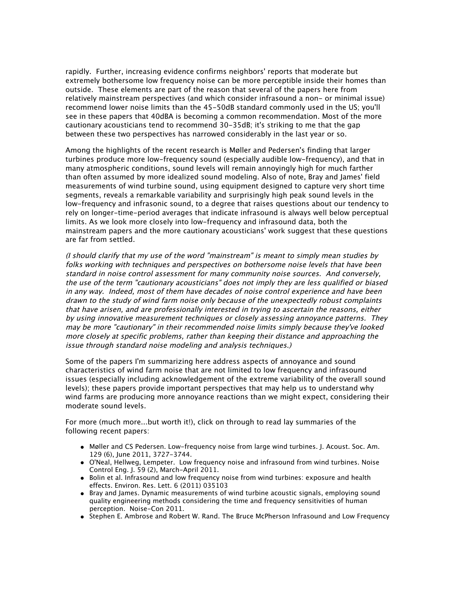rapidly. Further, increasing evidence confirms neighbors' reports that moderate but extremely bothersome low frequency noise can be more perceptible inside their homes than outside. These elements are part of the reason that several of the papers here from relatively mainstream perspectives (and which consider infrasound a non- or minimal issue) recommend lower noise limits than the 45-50dB standard commonly used in the US; you'll see in these papers that 40dBA is becoming a common recommendation. Most of the more cautionary acousticians tend to recommend 30-35dB; it's striking to me that the gap between these two perspectives has narrowed considerably in the last year or so.

Among the highlights of the recent research is Møller and Pedersen's finding that larger turbines produce more low-frequency sound (especially audible low-frequency), and that in many atmospheric conditions, sound levels will remain annoyingly high for much farther than often assumed by more idealized sound modeling. Also of note, Bray and James' field measurements of wind turbine sound, using equipment designed to capture very short time segments, reveals a remarkable variability and surprisingly high peak sound levels in the low-frequency and infrasonic sound, to a degree that raises questions about our tendency to rely on longer-time-period averages that indicate infrasound is always well below perceptual limits. As we look more closely into low-frequency and infrasound data, both the mainstream papers and the more cautionary acousticians' work suggest that these questions are far from settled.

(I should clarify that my use of the word "mainstream" is meant to simply mean studies by folks working with techniques and perspectives on bothersome noise levels that have been standard in noise control assessment for many community noise sources. And conversely, the use of the term "cautionary acousticians" does not imply they are less qualified or biased in any way. Indeed, most of them have decades of noise control experience and have been drawn to the study of wind farm noise only because of the unexpectedly robust complaints that have arisen, and are professionally interested in trying to ascertain the reasons, either by using innovative measurement techniques or closely assessing annoyance patterns. They may be more "cautionary" in their recommended noise limits simply because they've looked more closely at specific problems, rather than keeping their distance and approaching the issue through standard noise modeling and analysis techniques.)

Some of the papers I'm summarizing here address aspects of annoyance and sound characteristics of wind farm noise that are not limited to low frequency and infrasound issues (especially including acknowledgement of the extreme variability of the overall sound levels); these papers provide important perspectives that may help us to understand why wind farms are producing more annoyance reactions than we might expect, considering their moderate sound levels.

For more (much more...but worth it!), click on through to read lay summaries of the following recent papers:

- Møller and CS Pedersen. Low-frequency noise from large wind turbines. J. Acoust. Soc. Am. 129 (6), June 2011, 3727-3744.
- O'Neal, Hellweg, Lempeter. Low frequency noise and infrasound from wind turbines. Noise Control Eng. J. 59 (2), March-April 2011.
- Bolin et al. Infrasound and low frequency noise from wind turbines: exposure and health effects. Environ. Res. Lett. 6 (2011) 035103
- Bray and James. Dynamic measurements of wind turbine acoustic signals, employing sound quality engineering methods considering the time and frequency sensitivities of human perception. Noise-Con 2011.
- Stephen E. Ambrose and Robert W. Rand. The Bruce McPherson Infrasound and Low Frequency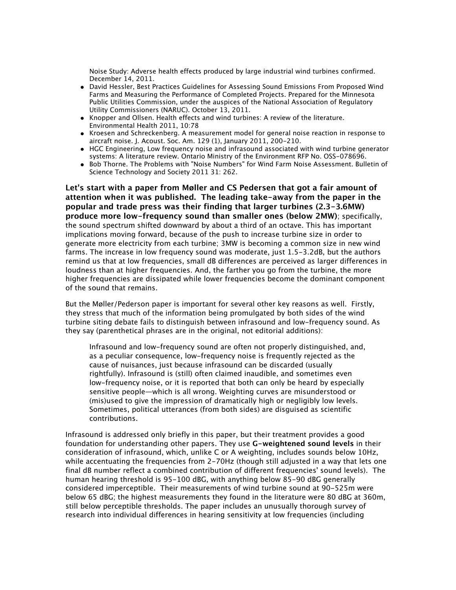Noise Study: Adverse health effects produced by large industrial wind turbines confirmed. December 14, 2011.

- David Hessler, Best Practices Guidelines for Assessing Sound Emissions From Proposed Wind Farms and Measuring the Performance of Completed Projects. Prepared for the Minnesota Public Utilities Commission, under the auspices of the National Association of Regulatory Utility Commissioners (NARUC). October 13, 2011.
- Knopper and Ollsen. Health effects and wind turbines: A review of the literature. Environmental Health 2011, 10:78
- Kroesen and Schreckenberg. A measurement model for general noise reaction in response to aircraft noise. J. Acoust. Soc. Am. 129 (1), January 2011, 200-210.
- HGC Engineering, Low frequency noise and infrasound associated with wind turbine generator systems: A literature review. Ontario Ministry of the Environment RFP No. OSS-078696.
- Bob Thorne. The Problems with "Noise Numbers" for Wind Farm Noise Assessment. Bulletin of Science Technology and Society 2011 31: 262.

**Let's start with a paper from Møller and CS Pedersen that got a fair amount of attention when it was published. The leading take-away from the paper in the popular and trade press was their finding that larger turbines (2.3-3.6MW) produce more low-frequency sound than smaller ones (below 2MW)**; specifically, the sound spectrum shifted downward by about a third of an octave. This has important implications moving forward, because of the push to increase turbine size in order to generate more electricity from each turbine; 3MW is becoming a common size in new wind farms. The increase in low frequency sound was moderate, just 1.5-3.2dB, but the authors remind us that at low frequencies, small dB differences are perceived as larger differences in loudness than at higher frequencies. And, the farther you go from the turbine, the more higher frequencies are dissipated while lower frequencies become the dominant component of the sound that remains.

But the Møller/Pederson paper is important for several other key reasons as well. Firstly, they stress that much of the information being promulgated by both sides of the wind turbine siting debate fails to distinguish between infrasound and low-frequency sound. As they say (parenthetical phrases are in the original, not editorial additions):

Infrasound and low-frequency sound are often not properly distinguished, and, as a peculiar consequence, low-frequency noise is frequently rejected as the cause of nuisances, just because infrasound can be discarded (usually rightfully). Infrasound is (still) often claimed inaudible, and sometimes even low-frequency noise, or it is reported that both can only be heard by especially sensitive people—which is all wrong. Weighting curves are misunderstood or (mis)used to give the impression of dramatically high or negligibly low levels. Sometimes, political utterances (from both sides) are disguised as scientific contributions.

Infrasound is addressed only briefly in this paper, but their treatment provides a good foundation for understanding other papers. They use **G-weightened sound levels** in their consideration of infrasound, which, unlike C or A weighting, includes sounds below 10Hz, while accentuating the frequencies from 2-70Hz (though still adjusted in a way that lets one final dB number reflect a combined contribution of different frequencies' sound levels). The human hearing threshold is 95-100 dBG, with anything below 85-90 dBG generally considered imperceptible. Their measurements of wind turbine sound at 90-525m were below 65 dBG; the highest measurements they found in the literature were 80 dBG at 360m, still below perceptible thresholds. The paper includes an unusually thorough survey of research into individual differences in hearing sensitivity at low frequencies (including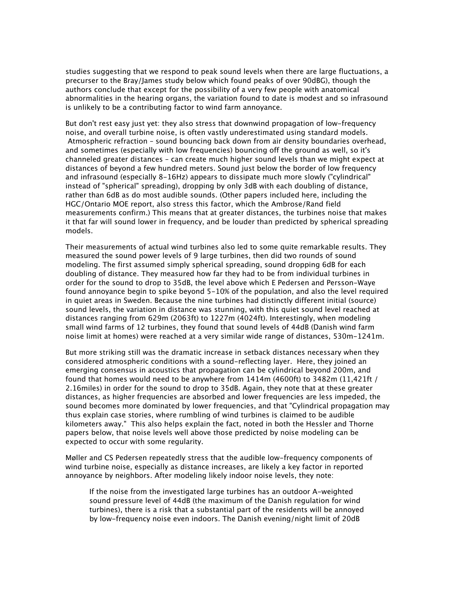studies suggesting that we respond to peak sound levels when there are large fluctuations, a precurser to the Bray/James study below which found peaks of over 90dBG), though the authors conclude that except for the possibility of a very few people with anatomical abnormalities in the hearing organs, the variation found to date is modest and so infrasound is unlikely to be a contributing factor to wind farm annoyance.

But don't rest easy just yet: they also stress that downwind propagation of low-frequency noise, and overall turbine noise, is often vastly underestimated using standard models. Atmospheric refraction – sound bouncing back down from air density boundaries overhead, and sometimes (especially with low frequencies) bouncing off the ground as well, so it's channeled greater distances – can create much higher sound levels than we might expect at distances of beyond a few hundred meters. Sound just below the border of low frequency and infrasound (especially 8-16Hz) appears to dissipate much more slowly ("cylindrical" instead of "spherical" spreading), dropping by only 3dB with each doubling of distance, rather than 6dB as do most audible sounds. (Other papers included here, including the HGC/Ontario MOE report, also stress this factor, which the Ambrose/Rand field measurements confirm.) This means that at greater distances, the turbines noise that makes it that far will sound lower in frequency, and be louder than predicted by spherical spreading models.

Their measurements of actual wind turbines also led to some quite remarkable results. They measured the sound power levels of 9 large turbines, then did two rounds of sound modeling. The first assumed simply spherical spreading, sound dropping 6dB for each doubling of distance. They measured how far they had to be from individual turbines in order for the sound to drop to 35dB, the level above which E Pedersen and Persson-Waye found annoyance begin to spike beyond 5-10% of the population, and also the level required in quiet areas in Sweden. Because the nine turbines had distinctly different initial (source) sound levels, the variation in distance was stunning, with this quiet sound level reached at distances ranging from 629m (2063ft) to 1227m (4024ft). Interestingly, when modeling small wind farms of 12 turbines, they found that sound levels of 44dB (Danish wind farm noise limit at homes) were reached at a very similar wide range of distances, 530m-1241m.

But more striking still was the dramatic increase in setback distances necessary when they considered atmospheric conditions with a sound-reflecting layer. Here, they joined an emerging consensus in acoustics that propagation can be cylindrical beyond 200m, and found that homes would need to be anywhere from 1414m (4600ft) to 3482m (11,421ft / 2.16miles) in order for the sound to drop to 35dB. Again, they note that at these greater distances, as higher frequencies are absorbed and lower frequencies are less impeded, the sound becomes more dominated by lower frequencies, and that "Cylindrical propagation may thus explain case stories, where rumbling of wind turbines is claimed to be audible kilometers away." This also helps explain the fact, noted in both the Hessler and Thorne papers below, that noise levels well above those predicted by noise modeling can be expected to occur with some regularity.

Møller and CS Pedersen repeatedly stress that the audible low-frequency components of wind turbine noise, especially as distance increases, are likely a key factor in reported annoyance by neighbors. After modeling likely indoor noise levels, they note:

If the noise from the investigated large turbines has an outdoor A-weighted sound pressure level of 44dB (the maximum of the Danish regulation for wind turbines), there is a risk that a substantial part of the residents will be annoyed by low-frequency noise even indoors. The Danish evening/night limit of 20dB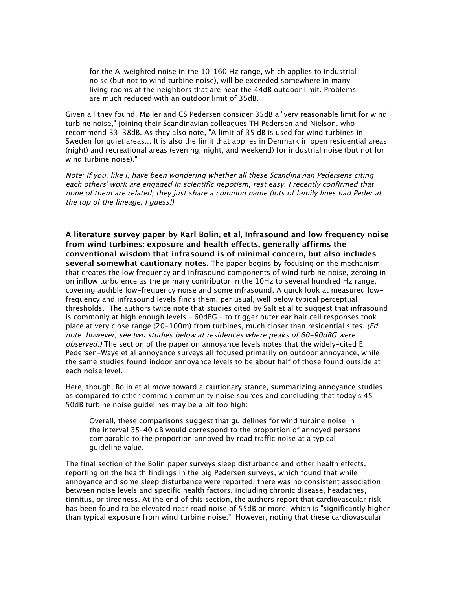for the A-weighted noise in the 10–160 Hz range, which applies to industrial noise (but not to wind turbine noise), will be exceeded somewhere in many living rooms at the neighbors that are near the 44dB outdoor limit. Problems are much reduced with an outdoor limit of 35dB.

Given all they found, Møller and CS Pedersen consider 35dB a "very reasonable limit for wind turbine noise," joining their Scandinavian colleagues TH Pedersen and Nielson, who recommend 33-38dB. As they also note, "A limit of 35 dB is used for wind turbines in Sweden for quiet areas... It is also the limit that applies in Denmark in open residential areas (night) and recreational areas (evening, night, and weekend) for industrial noise (but not for wind turbine noise)."

Note: If you, like I, have been wondering whether all these Scandinavian Pedersens citing each others' work are engaged in scientific nepotism, rest easy. I recently confirmed that none of them are related; they just share a common name (lots of family lines had Peder at the top of the lineage, I guess!)

**A literature survey paper by Karl Bolin, et al, Infrasound and low frequency noise from wind turbines: exposure and health effects, generally affirms the conventional wisdom that infrasound is of minimal concern, but also includes several somewhat cautionary notes.** The paper begins by focusing on the mechanism that creates the low frequency and infrasound components of wind turbine noise, zeroing in on inflow turbulence as the primary contributor in the 10Hz to several hundred Hz range, covering audible low-frequency noise and some infrasound. A quick look at measured lowfrequency and infrasound levels finds them, per usual, well below typical perceptual thresholds. The authors twice note that studies cited by Salt et al to suggest that infrasound is commonly at high enough levels – 60dBG – to trigger outer ear hair cell responses took place at very close range (20-100m) from turbines, much closer than residential sites. (Ed. note: however, see two studies below at residences where peaks of 60-90dBG were observed.) The section of the paper on annoyance levels notes that the widely-cited E Pedersen-Waye et al annoyance surveys all focused primarily on outdoor annoyance, while the same studies found indoor annoyance levels to be about half of those found outside at each noise level.

Here, though, Bolin et al move toward a cautionary stance, summarizing annoyance studies as compared to other common community noise sources and concluding that today's 45- 50dB turbine noise guidelines may be a bit too high:

Overall, these comparisons suggest that guidelines for wind turbine noise in the interval 35–40 dB would correspond to the proportion of annoyed persons comparable to the proportion annoyed by road traffic noise at a typical guideline value.

The final section of the Bolin paper surveys sleep disturbance and other health effects, reporting on the health findings in the big Pedersen surveys, which found that while annoyance and some sleep disturbance were reported, there was no consistent association between noise levels and specific health factors, including chronic disease, headaches, tinnitus, or tiredness. At the end of this section, the authors report that cardiovascular risk has been found to be elevated near road noise of 55dB or more, which is "significantly higher than typical exposure from wind turbine noise." However, noting that these cardiovascular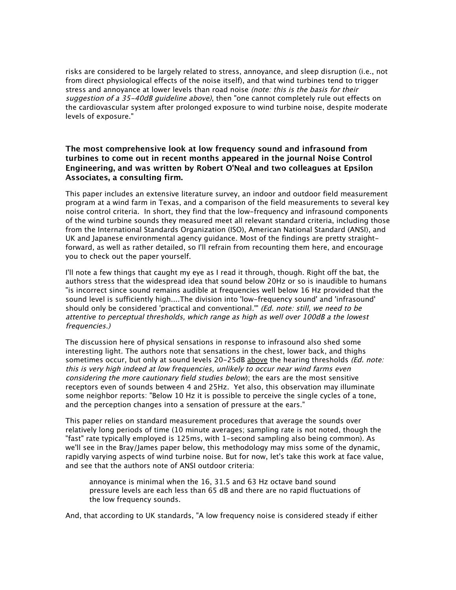risks are considered to be largely related to stress, annoyance, and sleep disruption (i.e., not from direct physiological effects of the noise itself), and that wind turbines tend to trigger stress and annoyance at lower levels than road noise (note: this is the basis for their suggestion of a 35-40dB guideline above), then "one cannot completely rule out effects on the cardiovascular system after prolonged exposure to wind turbine noise, despite moderate levels of exposure."

## **The most comprehensive look at low frequency sound and infrasound from turbines to come out in recent months appeared in the journal Noise Control Engineering, and was written by Robert O'Neal and two colleagues at Epsilon Associates, a consulting firm.**

This paper includes an extensive literature survey, an indoor and outdoor field measurement program at a wind farm in Texas, and a comparison of the field measurements to several key noise control criteria. In short, they find that the low-frequency and infrasound components of the wind turbine sounds they measured meet all relevant standard criteria, including those from the International Standards Organization (ISO), American National Standard (ANSI), and UK and Japanese environmental agency guidance. Most of the findings are pretty straightforward, as well as rather detailed, so I'll refrain from recounting them here, and encourage you to check out the paper yourself.

I'll note a few things that caught my eye as I read it through, though. Right off the bat, the authors stress that the widespread idea that sound below 20Hz or so is inaudible to humans "is incorrect since sound remains audible at frequencies well below 16 Hz provided that the sound level is sufficiently high....The division into 'low-frequency sound' and 'infrasound' should only be considered 'practical and conventional." (Ed. note: still, we need to be attentive to perceptual thresholds, which range as high as well over 100dB a the lowest frequencies.)

The discussion here of physical sensations in response to infrasound also shed some interesting light. The authors note that sensations in the chest, lower back, and thighs sometimes occur, but only at sound levels 20-25dB above the hearing thresholds (Ed. note: this is very high indeed at low frequencies, unlikely to occur near wind farms even considering the more cautionary field studies below); the ears are the most sensitive receptors even of sounds between 4 and 25Hz. Yet also, this observation may illuminate some neighbor reports: "Below 10 Hz it is possible to perceive the single cycles of a tone, and the perception changes into a sensation of pressure at the ears."

This paper relies on standard measurement procedures that average the sounds over relatively long periods of time (10 minute averages; sampling rate is not noted, though the "fast" rate typically employed is 125ms, with 1-second sampling also being common). As we'll see in the Bray/James paper below, this methodology may miss some of the dynamic, rapidly varying aspects of wind turbine noise. But for now, let's take this work at face value, and see that the authors note of ANSI outdoor criteria:

annoyance is minimal when the 16, 31.5 and 63 Hz octave band sound pressure levels are each less than 65 dB and there are no rapid fluctuations of the low frequency sounds.

And, that according to UK standards, "A low frequency noise is considered steady if either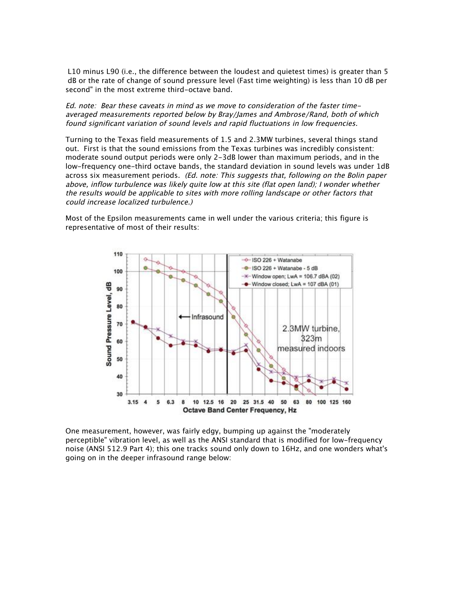L10 minus L90 (i.e., the difference between the loudest and quietest times) is greater than 5 dB or the rate of change of sound pressure level (Fast time weighting) is less than 10 dB per second" in the most extreme third-octave band.

Ed. note: Bear these caveats in mind as we move to consideration of the faster timeaveraged measurements reported below by Bray/James and Ambrose/Rand, both of which found significant variation of sound levels and rapid fluctuations in low frequencies.

Turning to the Texas field measurements of 1.5 and 2.3MW turbines, several things stand out. First is that the sound emissions from the Texas turbines was incredibly consistent: moderate sound output periods were only 2-3dB lower than maximum periods, and in the low-frequency one-third octave bands, the standard deviation in sound levels was under 1dB across six measurement periods. (Ed. note: This suggests that, following on the Bolin paper above, inflow turbulence was likely quite low at this site (flat open land); I wonder whether the results would be applicable to sites with more rolling landscape or other factors that could increase localized turbulence.)

Most of the Epsilon measurements came in well under the various criteria; this figure is representative of most of their results:



One measurement, however, was fairly edgy, bumping up against the "moderately perceptible" vibration level, as well as the ANSI standard that is modified for low-frequency noise (ANSI 512.9 Part 4); this one tracks sound only down to 16Hz, and one wonders what's going on in the deeper infrasound range below: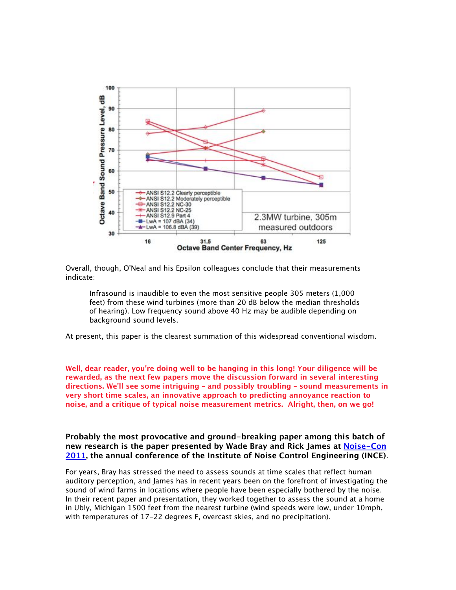

Overall, though, O'Neal and his Epsilon colleagues conclude that their measurements indicate:

Infrasound is inaudible to even the most sensitive people 305 meters (1,000 feet) from these wind turbines (more than 20 dB below the median thresholds of hearing). Low frequency sound above 40 Hz may be audible depending on background sound levels.

At present, this paper is the clearest summation of this widespread conventional wisdom.

**Well, dear reader, you're doing well to be hanging in this long! Your diligence will be rewarded, as the next few papers move the discussion forward in several interesting directions. We'll see some intriguing – and possibly troubling – sound measurements in very short time scales, an innovative approach to predicting annoyance reaction to noise, and a critique of typical noise measurement metrics. Alright, then, on we go!**

**Probably the most provocative and ground-breaking paper among this batch of new research is the paper presented by Wade Bray and Rick James at Noise-Con 2011, the annual conference of the Institute of Noise Control Engineering (INCE)**.

For years, Bray has stressed the need to assess sounds at time scales that reflect human auditory perception, and James has in recent years been on the forefront of investigating the sound of wind farms in locations where people have been especially bothered by the noise. In their recent paper and presentation, they worked together to assess the sound at a home in Ubly, Michigan 1500 feet from the nearest turbine (wind speeds were low, under 10mph, with temperatures of 17-22 degrees F, overcast skies, and no precipitation).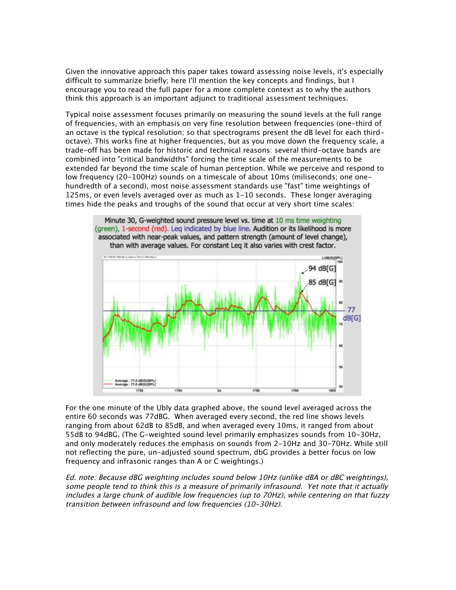Given the innovative approach this paper takes toward assessing noise levels, it's especially difficult to summarize briefly; here I'll mention the key concepts and findings, but I encourage you to read the full paper for a more complete context as to why the authors think this approach is an important adjunct to traditional assessment techniques.

Typical noise assessment focuses primarily on measuring the sound levels at the full range of frequencies, with an emphasis on very fine resolution between frequencies (one-third of an octave is the typical resolution; so that spectrograms present the dB level for each thirdoctave). This works fine at higher frequencies, but as you move down the frequency scale, a trade-off has been made for historic and technical reasons: several third-octave bands are combined into "critical bandwidths" forcing the time scale of the measurements to be extended far beyond the time scale of human perception. While we perceive and respond to low frequency (20-100Hz) sounds on a timescale of about 10ms (miliseconds; one onehundredth of a second), most noise assessment standards use "fast" time weightings of 125ms, or even levels averaged over as much as 1-10 seconds. These longer averaging times hide the peaks and troughs of the sound that occur at very short time scales:



For the one minute of the Ubly data graphed above, the sound level averaged across the entire 60 seconds was 77dBG. When averaged every second, the red line shows levels ranging from about 62dB to 85dB, and when averaged every 10ms, it ranged from about 55dB to 94dBG. (The G-weighted sound level primarily emphasizes sounds from 10-30Hz, and only moderately reduces the emphasis on sounds from 2-10Hz and 30-70Hz. While still not reflecting the pure, un-adjusted sound spectrum, dbG provides a better focus on low frequency and infrasonic ranges than A or C weightings.)

Ed. note: Because dBG weighting includes sound below 10Hz (unlike dBA or dBC weightings), some people tend to think this is a measure of primarily infrasound. Yet note that it actually includes a large chunk of audible low frequencies (up to 70Hz), while centering on that fuzzy transition between infrasound and low frequencies (10-30Hz).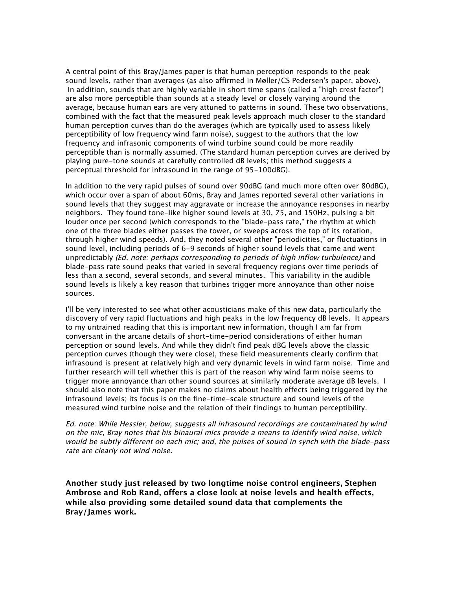A central point of this Bray/James paper is that human perception responds to the peak sound levels, rather than averages (as also affirmed in Møller/CS Pedersen's paper, above). In addition, sounds that are highly variable in short time spans (called a "high crest factor") are also more perceptible than sounds at a steady level or closely varying around the average, because human ears are very attuned to patterns in sound. These two observations, combined with the fact that the measured peak levels approach much closer to the standard human perception curves than do the averages (which are typically used to assess likely perceptibility of low frequency wind farm noise), suggest to the authors that the low frequency and infrasonic components of wind turbine sound could be more readily perceptible than is normally assumed. (The standard human perception curves are derived by playing pure-tone sounds at carefully controlled dB levels; this method suggests a perceptual threshold for infrasound in the range of 95-100dBG).

In addition to the very rapid pulses of sound over 90dBG (and much more often over 80dBG), which occur over a span of about 60ms, Bray and James reported several other variations in sound levels that they suggest may aggravate or increase the annoyance responses in nearby neighbors. They found tone-like higher sound levels at 30, 75, and 150Hz, pulsing a bit louder once per second (which corresponds to the "blade-pass rate," the rhythm at which one of the three blades either passes the tower, or sweeps across the top of its rotation, through higher wind speeds). And, they noted several other "periodicities," or fluctuations in sound level, including periods of 6-9 seconds of higher sound levels that came and went unpredictably (Ed. note: perhaps corresponding to periods of high inflow turbulence) and blade-pass rate sound peaks that varied in several frequency regions over time periods of less than a second, several seconds, and several minutes. This variability in the audible sound levels is likely a key reason that turbines trigger more annoyance than other noise sources.

I'll be very interested to see what other acousticians make of this new data, particularly the discovery of very rapid fluctuations and high peaks in the low frequency dB levels. It appears to my untrained reading that this is important new information, though I am far from conversant in the arcane details of short-time-period considerations of either human perception or sound levels. And while they didn't find peak dBG levels above the classic perception curves (though they were close), these field measurements clearly confirm that infrasound is present at relatively high and very dynamic levels in wind farm noise. Time and further research will tell whether this is part of the reason why wind farm noise seems to trigger more annoyance than other sound sources at similarly moderate average dB levels. I should also note that this paper makes no claims about health effects being triggered by the infrasound levels; its focus is on the fine-time-scale structure and sound levels of the measured wind turbine noise and the relation of their findings to human perceptibility.

Ed. note: While Hessler, below, suggests all infrasound recordings are contaminated by wind on the mic, Bray notes that his binaural mics provide a means to identify wind noise, which would be subtly different on each mic; and, the pulses of sound in synch with the blade-pass rate are clearly not wind noise.

**Another study just released by two longtime noise control engineers, Stephen Ambrose and Rob Rand, offers a close look at noise levels and health effects, while also providing some detailed sound data that complements the Bray/James work.**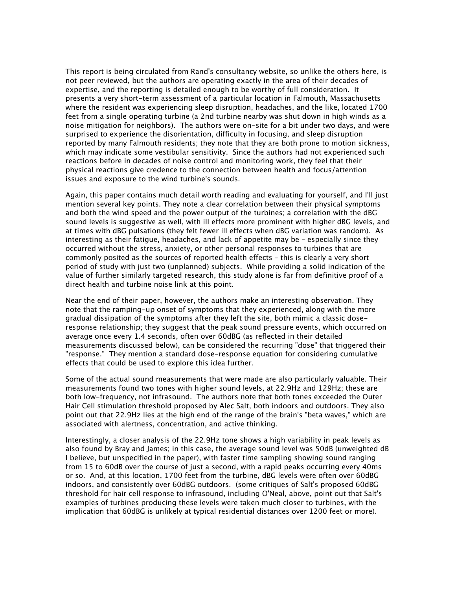This report is being circulated from Rand's consultancy website, so unlike the others here, is not peer reviewed, but the authors are operating exactly in the area of their decades of expertise, and the reporting is detailed enough to be worthy of full consideration. It presents a very short-term assessment of a particular location in Falmouth, Massachusetts where the resident was experiencing sleep disruption, headaches, and the like, located 1700 feet from a single operating turbine (a 2nd turbine nearby was shut down in high winds as a noise mitigation for neighbors). The authors were on-site for a bit under two days, and were surprised to experience the disorientation, difficulty in focusing, and sleep disruption reported by many Falmouth residents; they note that they are both prone to motion sickness, which may indicate some vestibular sensitivity. Since the authors had not experienced such reactions before in decades of noise control and monitoring work, they feel that their physical reactions give credence to the connection between health and focus/attention issues and exposure to the wind turbine's sounds.

Again, this paper contains much detail worth reading and evaluating for yourself, and I'll just mention several key points. They note a clear correlation between their physical symptoms and both the wind speed and the power output of the turbines; a correlation with the dBG sound levels is suggestive as well, with ill effects more prominent with higher dBG levels, and at times with dBG pulsations (they felt fewer ill effects when dBG variation was random). As interesting as their fatigue, headaches, and lack of appetite may be – especially since they occurred without the stress, anxiety, or other personal responses to turbines that are commonly posited as the sources of reported health effects – this is clearly a very short period of study with just two (unplanned) subjects. While providing a solid indication of the value of further similarly targeted research, this study alone is far from definitive proof of a direct health and turbine noise link at this point.

Near the end of their paper, however, the authors make an interesting observation. They note that the ramping-up onset of symptoms that they experienced, along with the more gradual dissipation of the symptoms after they left the site, both mimic a classic doseresponse relationship; they suggest that the peak sound pressure events, which occurred on average once every 1.4 seconds, often over 60dBG (as reflected in their detailed measurements discussed below), can be considered the recurring "dose" that triggered their "response." They mention a standard dose-response equation for considering cumulative effects that could be used to explore this idea further.

Some of the actual sound measurements that were made are also particularly valuable. Their measurements found two tones with higher sound levels, at 22.9Hz and 129Hz; these are both low-frequency, not infrasound. The authors note that both tones exceeded the Outer Hair Cell stimulation threshold proposed by Alec Salt, both indoors and outdoors. They also point out that 22.9Hz lies at the high end of the range of the brain's "beta waves," which are associated with alertness, concentration, and active thinking.

Interestingly, a closer analysis of the 22.9Hz tone shows a high variability in peak levels as also found by Bray and James; in this case, the average sound level was 50dB (unweighted dB I believe, but unspecified in the paper), with faster time sampling showing sound ranging from 15 to 60dB over the course of just a second, with a rapid peaks occurring every 40ms or so. And, at this location, 1700 feet from the turbine, dBG levels were often over 60dBG indoors, and consistently over 60dBG outdoors. (some critiques of Salt's proposed 60dBG threshold for hair cell response to infrasound, including O'Neal, above, point out that Salt's examples of turbines producing these levels were taken much closer to turbines, with the implication that 60dBG is unlikely at typical residential distances over 1200 feet or more).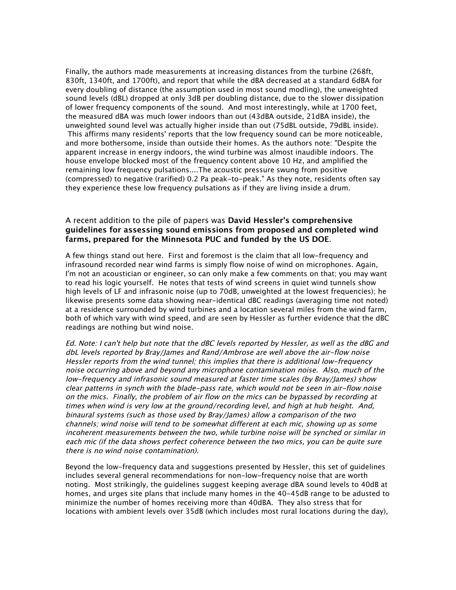Finally, the authors made measurements at increasing distances from the turbine (268ft, 830ft, 1340ft, and 1700ft), and report that while the dBA decreased at a standard 6dBA for every doubling of distance (the assumption used in most sound modling), the unweighted sound levels (dBL) dropped at only 3dB per doubling distance, due to the slower dissipation of lower frequency components of the sound. And most interestingly, while at 1700 feet, the measured dBA was much lower indoors than out (43dBA outside, 21dBA inside), the unweighted sound level was actually higher inside than out (75dBL outside, 79dBL inside). This affirms many residents' reports that the low frequency sound can be more noticeable, and more bothersome, inside than outside their homes. As the authors note: "Despite the apparent increase in energy indoors, the wind turbine was almost inaudible indoors. The house envelope blocked most of the frequency content above 10 Hz, and amplified the remaining low frequency pulsations....The acoustic pressure swung from positive (compressed) to negative (rarified) 0.2 Pa peak-to-peak." As they note, residents often say they experience these low frequency pulsations as if they are living inside a drum.

## A recent addition to the pile of papers was **David Hessler's comprehensive guidelines for assessing sound emissions from proposed and completed wind farms, prepared for the Minnesota PUC and funded by the US DOE**.

A few things stand out here. First and foremost is the claim that all low-frequency and infrasound recorded near wind farms is simply flow noise of wind on microphones. Again, I'm not an acoustician or engineer, so can only make a few comments on that; you may want to read his logic yourself. He notes that tests of wind screens in quiet wind tunnels show high levels of LF and infrasonic noise (up to 70dB, unweighted at the lowest frequencies); he likewise presents some data showing near-identical dBC readings (averaging time not noted) at a residence surrounded by wind turbines and a location several miles from the wind farm, both of which vary with wind speed, and are seen by Hessler as further evidence that the dBC readings are nothing but wind noise.

Ed. Note: I can't help but note that the dBC levels reported by Hessler, as well as the dBG and dbL levels reported by Bray/James and Rand/Ambrose are well above the air-flow noise Hessler reports from the wind tunnel; this implies that there is additional low-frequency noise occurring above and beyond any microphone contamination noise. Also, much of the low-frequency and infrasonic sound measured at faster time scales (by Bray/James) show clear patterns in synch with the blade-pass rate, which would not be seen in air-flow noise on the mics. Finally, the problem of air flow on the mics can be bypassed by recording at times when wind is very low at the ground/recording level, and high at hub height. And, binaural systems (such as those used by Bray/James) allow a comparison of the two channels; wind noise will tend to be somewhat different at each mic, showing up as some incoherent measurements between the two, while turbine noise will be synched or similar in each mic (if the data shows perfect coherence between the two mics, you can be quite sure there is no wind noise contamination).

Beyond the low-frequency data and suggestions presented by Hessler, this set of guidelines includes several general recommendations for non-low-frequency noise that are worth noting. Most strikingly, the guidelines suggest keeping average dBA sound levels to 40dB at homes, and urges site plans that include many homes in the 40-45dB range to be adusted to minimize the number of homes receiving more than 40dBA. They also stress that for locations with ambient levels over 35dB (which includes most rural locations during the day),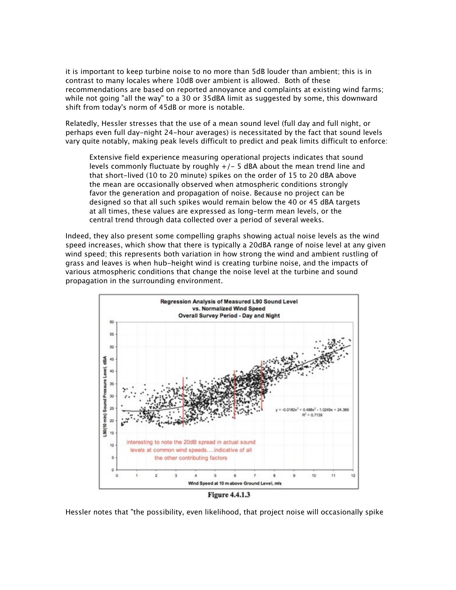it is important to keep turbine noise to no more than 5dB louder than ambient; this is in contrast to many locales where 10dB over ambient is allowed. Both of these recommendations are based on reported annoyance and complaints at existing wind farms; while not going "all the way" to a 30 or 35dBA limit as suggested by some, this downward shift from today's norm of 45dB or more is notable.

Relatedly, Hessler stresses that the use of a mean sound level (full day and full night, or perhaps even full day-night 24-hour averages) is necessitated by the fact that sound levels vary quite notably, making peak levels difficult to predict and peak limits difficult to enforce:

Extensive field experience measuring operational projects indicates that sound levels commonly fluctuate by roughly +/- 5 dBA about the mean trend line and that short-lived (10 to 20 minute) spikes on the order of 15 to 20 dBA above the mean are occasionally observed when atmospheric conditions strongly favor the generation and propagation of noise. Because no project can be designed so that all such spikes would remain below the 40 or 45 dBA targets at all times, these values are expressed as long-term mean levels, or the central trend through data collected over a period of several weeks.

Indeed, they also present some compelling graphs showing actual noise levels as the wind speed increases, which show that there is typically a 20dBA range of noise level at any given wind speed; this represents both variation in how strong the wind and ambient rustling of grass and leaves is when hub-height wind is creating turbine noise, and the impacts of various atmospheric conditions that change the noise level at the turbine and sound propagation in the surrounding environment.



Hessler notes that "the possibility, even likelihood, that project noise will occasionally spike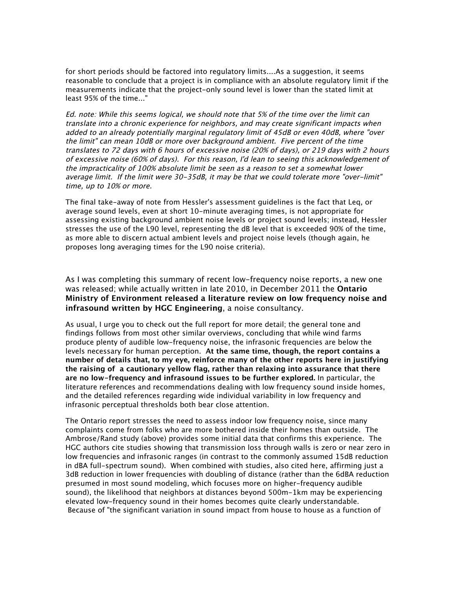for short periods should be factored into regulatory limits....As a suggestion, it seems reasonable to conclude that a project is in compliance with an absolute regulatory limit if the measurements indicate that the project-only sound level is lower than the stated limit at least 95% of the time..."

Ed. note: While this seems logical, we should note that 5% of the time over the limit can translate into a chronic experience for neighbors, and may create significant impacts when added to an already potentially marginal regulatory limit of 45dB or even 40dB, where "over the limit" can mean 10dB or more over background ambient. Five percent of the time translates to 72 days with 6 hours of excessive noise (20% of days), or 219 days with 2 hours of excessive noise (60% of days). For this reason, I'd lean to seeing this acknowledgement of the impracticality of 100% absolute limit be seen as a reason to set a somewhat lower average limit. If the limit were 30-35dB, it may be that we could tolerate more "over-limit" time, up to 10% or more.

The final take-away of note from Hessler's assessment guidelines is the fact that Leq, or average sound levels, even at short 10-minute averaging times, is not appropriate for assessing existing background ambient noise levels or project sound levels; instead, Hessler stresses the use of the L90 level, representing the dB level that is exceeded 90% of the time, as more able to discern actual ambient levels and project noise levels (though again, he proposes long averaging times for the L90 noise criteria).

As I was completing this summary of recent low-frequency noise reports, a new one was released; while actually written in late 2010, in December 2011 the **Ontario Ministry of Environment released a literature review on low frequency noise and infrasound written by HGC Engineering**, a noise consultancy.

As usual, I urge you to check out the full report for more detail; the general tone and findings follows from most other similar overviews, concluding that while wind farms produce plenty of audible low-frequency noise, the infrasonic frequencies are below the levels necessary for human perception. **At the same time, though, the report contains a number of details that, to my eye, reinforce many of the other reports here in justifying the raising of a cautionary yellow flag, rather than relaxing into assurance that there are no low-frequency and infrasound issues to be further explored.** In particular, the literature references and recommendations dealing with low frequency sound inside homes, and the detailed references regarding wide individual variability in low frequency and infrasonic perceptual thresholds both bear close attention.

The Ontario report stresses the need to assess indoor low frequency noise, since many complaints come from folks who are more bothered inside their homes than outside. The Ambrose/Rand study (above) provides some initial data that confirms this experience. The HGC authors cite studies showing that transmission loss through walls is zero or near zero in low frequencies and infrasonic ranges (in contrast to the commonly assumed 15dB reduction in dBA full-spectrum sound). When combined with studies, also cited here, affirming just a 3dB reduction in lower frequencies with doubling of distance (rather than the 6dBA reduction presumed in most sound modeling, which focuses more on higher-frequency audible sound), the likelihood that neighbors at distances beyond 500m-1km may be experiencing elevated low-frequency sound in their homes becomes quite clearly understandable. Because of "the significant variation in sound impact from house to house as a function of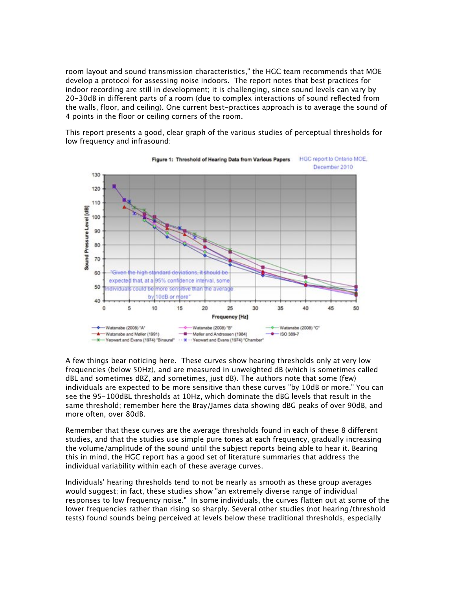room layout and sound transmission characteristics," the HGC team recommends that MOE develop a protocol for assessing noise indoors. The report notes that best practices for indoor recording are still in development; it is challenging, since sound levels can vary by 20-30dB in different parts of a room (due to complex interactions of sound reflected from the walls, floor, and ceiling). One current best-practices approach is to average the sound of 4 points in the floor or ceiling corners of the room.

This report presents a good, clear graph of the various studies of perceptual thresholds for low frequency and infrasound:



A few things bear noticing here. These curves show hearing thresholds only at very low frequencies (below 50Hz), and are measured in unweighted dB (which is sometimes called dBL and sometimes dBZ, and sometimes, just dB). The authors note that some (few) individuals are expected to be more sensitive than these curves "by 10dB or more." You can see the 95-100dBL thresholds at 10Hz, which dominate the dBG levels that result in the same threshold; remember here the Bray/James data showing dBG peaks of over 90dB, and more often, over 80dB.

Remember that these curves are the average thresholds found in each of these 8 different studies, and that the studies use simple pure tones at each frequency, gradually increasing the volume/amplitude of the sound until the subject reports being able to hear it. Bearing this in mind, the HGC report has a good set of literature summaries that address the individual variability within each of these average curves.

Individuals' hearing thresholds tend to not be nearly as smooth as these group averages would suggest; in fact, these studies show "an extremely diverse range of individual responses to low frequency noise." In some individuals, the curves flatten out at some of the lower frequencies rather than rising so sharply. Several other studies (not hearing/threshold tests) found sounds being perceived at levels below these traditional thresholds, especially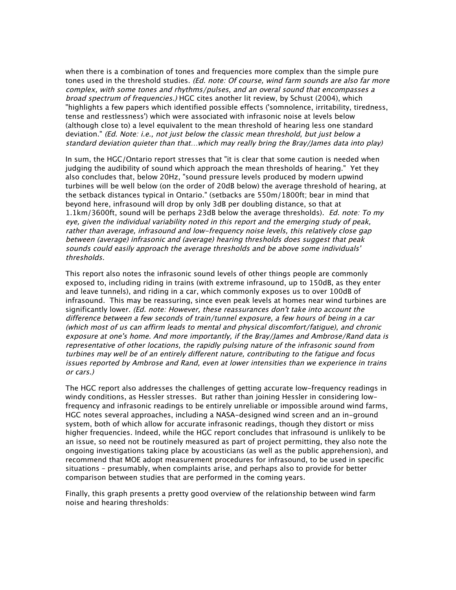when there is a combination of tones and frequencies more complex than the simple pure tones used in the threshold studies. (Ed. note: Of course, wind farm sounds are also far more complex, with some tones and rhythms/pulses, and an overal sound that encompasses a broad spectrum of frequencies.) HGC cites another lit review, by Schust (2004), which "highlights a few papers which identified possible effects ('somnolence, irritability, tiredness, tense and restlessness') which were associated with infrasonic noise at levels below (although close to) a level equivalent to the mean threshold of hearing less one standard deviation." (Ed. Note: i.e., not just below the classic mean threshold, but just below a standard deviation quieter than that…which may really bring the Bray/James data into play)

In sum, the HGC/Ontario report stresses that "it is clear that some caution is needed when judging the audibility of sound which approach the mean thresholds of hearing." Yet they also concludes that, below 20Hz, "sound pressure levels produced by modern upwind turbines will be well below (on the order of 20dB below) the average threshold of hearing, at the setback distances typical in Ontario." (setbacks are 550m/1800ft; bear in mind that beyond here, infrasound will drop by only 3dB per doubling distance, so that at 1.1km/3600ft, sound will be perhaps 23dB below the average thresholds). Ed. note: To my eye, given the individual variability noted in this report and the emerging study of peak, rather than average, infrasound and low-frequency noise levels, this relatively close gap between (average) infrasonic and (average) hearing thresholds does suggest that peak sounds could easily approach the average thresholds and be above some individuals' thresholds.

This report also notes the infrasonic sound levels of other things people are commonly exposed to, including riding in trains (with extreme infrasound, up to 150dB, as they enter and leave tunnels), and riding in a car, which commonly exposes us to over 100dB of infrasound. This may be reassuring, since even peak levels at homes near wind turbines are significantly lower. (Ed. note: However, these reassurances don't take into account the difference between a few seconds of train/tunnel exposure, a few hours of being in a car (which most of us can affirm leads to mental and physical discomfort/fatigue), and chronic exposure at one's home. And more importantly, if the Bray/James and Ambrose/Rand data is representative of other locations, the rapidly pulsing nature of the infrasonic sound from turbines may well be of an entirely different nature, contributing to the fatigue and focus issues reported by Ambrose and Rand, even at lower intensities than we experience in trains or cars.)

The HGC report also addresses the challenges of getting accurate low-frequency readings in windy conditions, as Hessler stresses. But rather than joining Hessler in considering lowfrequency and infrasonic readings to be entirely unreliable or impossible around wind farms, HGC notes several approaches, including a NASA-designed wind screen and an in-ground system, both of which allow for accurate infrasonic readings, though they distort or miss higher frequencies. Indeed, while the HGC report concludes that infrasound is unlikely to be an issue, so need not be routinely measured as part of project permitting, they also note the ongoing investigations taking place by acousticians (as well as the public apprehension), and recommend that MOE adopt measurement procedures for infrasound, to be used in specific situations – presumably, when complaints arise, and perhaps also to provide for better comparison between studies that are performed in the coming years.

Finally, this graph presents a pretty good overview of the relationship between wind farm noise and hearing thresholds: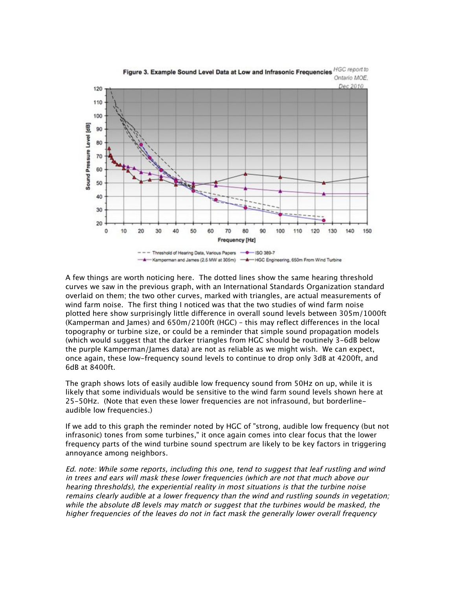

Figure 3. Example Sound Level Data at Low and Infrasonic Frequencies HGC report to Ontario MOE.

A few things are worth noticing here. The dotted lines show the same hearing threshold curves we saw in the previous graph, with an International Standards Organization standard overlaid on them; the two other curves, marked with triangles, are actual measurements of wind farm noise. The first thing I noticed was that the two studies of wind farm noise plotted here show surprisingly little difference in overall sound levels between 305m/1000ft (Kamperman and James) and 650m/2100ft (HGC) – this may reflect differences in the local topography or turbine size, or could be a reminder that simple sound propagation models (which would suggest that the darker triangles from HGC should be routinely 3-6dB below the purple Kamperman/James data) are not as reliable as we might wish. We can expect, once again, these low-frequency sound levels to continue to drop only 3dB at 4200ft, and 6dB at 8400ft.

The graph shows lots of easily audible low frequency sound from 50Hz on up, while it is likely that some individuals would be sensitive to the wind farm sound levels shown here at 25-50Hz. (Note that even these lower frequencies are not infrasound, but borderlineaudible low frequencies.)

If we add to this graph the reminder noted by HGC of "strong, audible low frequency (but not infrasonic) tones from some turbines," it once again comes into clear focus that the lower frequency parts of the wind turbine sound spectrum are likely to be key factors in triggering annoyance among neighbors.

Ed. note: While some reports, including this one, tend to suggest that leaf rustling and wind in trees and ears will mask these lower frequencies (which are not that much above our hearing thresholds), the experiential reality in most situations is that the turbine noise remains clearly audible at a lower frequency than the wind and rustling sounds in vegetation; while the absolute dB levels may match or suggest that the turbines would be masked, the higher frequencies of the leaves do not in fact mask the generally lower overall frequency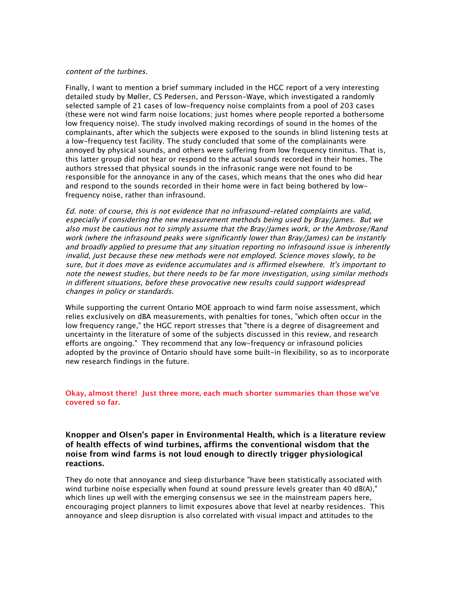#### content of the turbines.

Finally, I want to mention a brief summary included in the HGC report of a very interesting detailed study by Møller, CS Pedersen, and Persson-Waye, which investigated a randomly selected sample of 21 cases of low-frequency noise complaints from a pool of 203 cases (these were not wind farm noise locations; just homes where people reported a bothersome low frequency noise). The study involved making recordings of sound in the homes of the complainants, after which the subjects were exposed to the sounds in blind listening tests at a low-frequency test facility. The study concluded that some of the complainants were annoyed by physical sounds, and others were suffering from low frequency tinnitus. That is, this latter group did not hear or respond to the actual sounds recorded in their homes. The authors stressed that physical sounds in the infrasonic range were not found to be responsible for the annoyance in any of the cases, which means that the ones who did hear and respond to the sounds recorded in their home were in fact being bothered by lowfrequency noise, rather than infrasound.

Ed. note: of course, this is not evidence that no infrasound-related complaints are valid, especially if considering the new measurement methods being used by Bray/James. But we also must be cautious not to simply assume that the Bray/James work, or the Ambrose/Rand work (where the infrasound peaks were significantly lower than Bray/James) can be instantly and broadly applied to presume that any situation reporting no infrasound issue is inherently invalid, just because these new methods were not employed. Science moves slowly, to be sure, but it does move as evidence accumulates and is affirmed elsewhere. It's important to note the newest studies, but there needs to be far more investigation, using similar methods in different situations, before these provocative new results could support widespread changes in policy or standards.

While supporting the current Ontario MOE approach to wind farm noise assessment, which relies exclusively on dBA measurements, with penalties for tones, "which often occur in the low frequency range," the HGC report stresses that "there is a degree of disagreement and uncertainty in the literature of some of the subjects discussed in this review, and research efforts are ongoing." They recommend that any low-frequency or infrasound policies adopted by the province of Ontario should have some built-in flexibility, so as to incorporate new research findings in the future.

### **Okay, almost there! Just three more, each much shorter summaries than those we've covered so far.**

## **Knopper and Olsen's paper in Environmental Health, which is a literature review of health effects of wind turbines, affirms the conventional wisdom that the noise from wind farms is not loud enough to directly trigger physiological reactions.**

They do note that annoyance and sleep disturbance "have been statistically associated with wind turbine noise especially when found at sound pressure levels greater than 40 dB(A)," which lines up well with the emerging consensus we see in the mainstream papers here, encouraging project planners to limit exposures above that level at nearby residences. This annoyance and sleep disruption is also correlated with visual impact and attitudes to the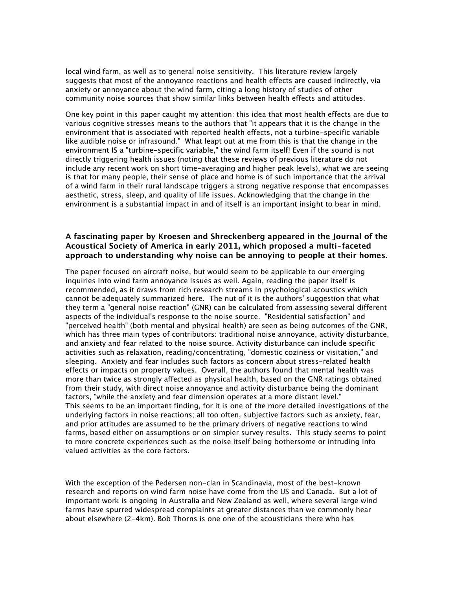local wind farm, as well as to general noise sensitivity. This literature review largely suggests that most of the annoyance reactions and health effects are caused indirectly, via anxiety or annoyance about the wind farm, citing a long history of studies of other community noise sources that show similar links between health effects and attitudes.

One key point in this paper caught my attention: this idea that most health effects are due to various cognitive stresses means to the authors that "it appears that it is the change in the environment that is associated with reported health effects, not a turbine-specific variable like audible noise or infrasound." What leapt out at me from this is that the change in the environment IS a "turbine-specific variable," the wind farm itself! Even if the sound is not directly triggering health issues (noting that these reviews of previous literature do not include any recent work on short time-averaging and higher peak levels), what we are seeing is that for many people, their sense of place and home is of such importance that the arrival of a wind farm in their rural landscape triggers a strong negative response that encompasses aesthetic, stress, sleep, and quality of life issues. Acknowledging that the change in the environment is a substantial impact in and of itself is an important insight to bear in mind.

## **A fascinating paper by Kroesen and Shreckenberg appeared in the Journal of the Acoustical Society of America in early 2011, which proposed a multi-faceted approach to understanding why noise can be annoying to people at their homes.**

The paper focused on aircraft noise, but would seem to be applicable to our emerging inquiries into wind farm annoyance issues as well. Again, reading the paper itself is recommended, as it draws from rich research streams in psychological acoustics which cannot be adequately summarized here. The nut of it is the authors' suggestion that what they term a "general noise reaction" (GNR) can be calculated from assessing several different aspects of the individual's response to the noise source. "Residential satisfaction" and "perceived health" (both mental and physical health) are seen as being outcomes of the GNR, which has three main types of contributors: traditional noise annoyance, activity disturbance, and anxiety and fear related to the noise source. Activity disturbance can include specific activities such as relaxation, reading/concentrating, "domestic coziness or visitation," and sleeping. Anxiety and fear includes such factors as concern about stress-related health effects or impacts on property values. Overall, the authors found that mental health was more than twice as strongly affected as physical health, based on the GNR ratings obtained from their study, with direct noise annoyance and activity disturbance being the dominant factors, "while the anxiety and fear dimension operates at a more distant level." This seems to be an important finding, for it is one of the more detailed investigations of the underlying factors in noise reactions; all too often, subjective factors such as anxiety, fear, and prior attitudes are assumed to be the primary drivers of negative reactions to wind farms, based either on assumptions or on simpler survey results. This study seems to point to more concrete experiences such as the noise itself being bothersome or intruding into valued activities as the core factors.

With the exception of the Pedersen non-clan in Scandinavia, most of the best-known research and reports on wind farm noise have come from the US and Canada. But a lot of important work is ongoing in Australia and New Zealand as well, where several large wind farms have spurred widespread complaints at greater distances than we commonly hear about elsewhere (2-4km). Bob Thorns is one one of the acousticians there who has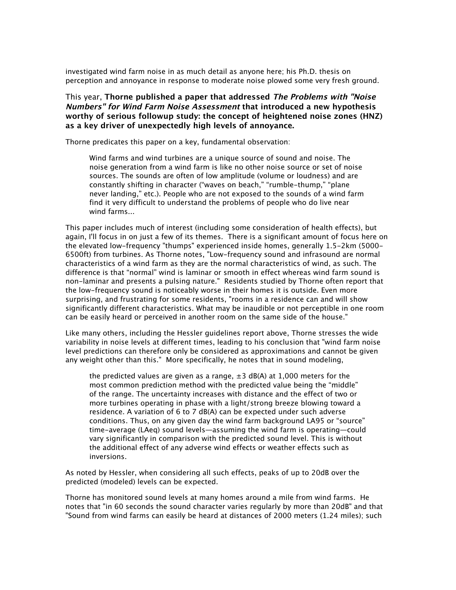investigated wind farm noise in as much detail as anyone here; his Ph.D. thesis on perception and annoyance in response to moderate noise plowed some very fresh ground.

This year, **Thorne published a paper that addressed The Problems with "Noise Numbers" for Wind Farm Noise Assessment that introduced a new hypothesis worthy of serious followup study: the concept of heightened noise zones (HNZ) as a key driver of unexpectedly high levels of annoyance.**

Thorne predicates this paper on a key, fundamental observation:

Wind farms and wind turbines are a unique source of sound and noise. The noise generation from a wind farm is like no other noise source or set of noise sources. The sounds are often of low amplitude (volume or loudness) and are constantly shifting in character ("waves on beach," "rumble-thump," "plane never landing," etc.). People who are not exposed to the sounds of a wind farm find it very difficult to understand the problems of people who do live near wind farms...

This paper includes much of interest (including some consideration of health effects), but again, I'll focus in on just a few of its themes. There is a significant amount of focus here on the elevated low-frequency "thumps" experienced inside homes, generally 1.5-2km (5000- 6500ft) from turbines. As Thorne notes, "Low-frequency sound and infrasound are normal characteristics of a wind farm as they are the normal characteristics of wind, as such. The difference is that "normal" wind is laminar or smooth in effect whereas wind farm sound is non-laminar and presents a pulsing nature." Residents studied by Thorne often report that the low-frequency sound is noticeably worse in their homes it is outside. Even more surprising, and frustrating for some residents, "rooms in a residence can and will show significantly different characteristics. What may be inaudible or not perceptible in one room can be easily heard or perceived in another room on the same side of the house."

Like many others, including the Hessler guidelines report above, Thorne stresses the wide variability in noise levels at different times, leading to his conclusion that "wind farm noise level predictions can therefore only be considered as approximations and cannot be given any weight other than this." More specifically, he notes that in sound modeling,

the predicted values are given as a range,  $\pm 3$  dB(A) at 1,000 meters for the most common prediction method with the predicted value being the "middle" of the range. The uncertainty increases with distance and the effect of two or more turbines operating in phase with a light/strong breeze blowing toward a residence. A variation of 6 to 7 dB(A) can be expected under such adverse conditions. Thus, on any given day the wind farm background LA95 or "source" time-average (LAeq) sound levels—assuming the wind farm is operating—could vary significantly in comparison with the predicted sound level. This is without the additional effect of any adverse wind effects or weather effects such as inversions.

As noted by Hessler, when considering all such effects, peaks of up to 20dB over the predicted (modeled) levels can be expected.

Thorne has monitored sound levels at many homes around a mile from wind farms. He notes that "in 60 seconds the sound character varies regularly by more than 20dB" and that "Sound from wind farms can easily be heard at distances of 2000 meters (1.24 miles); such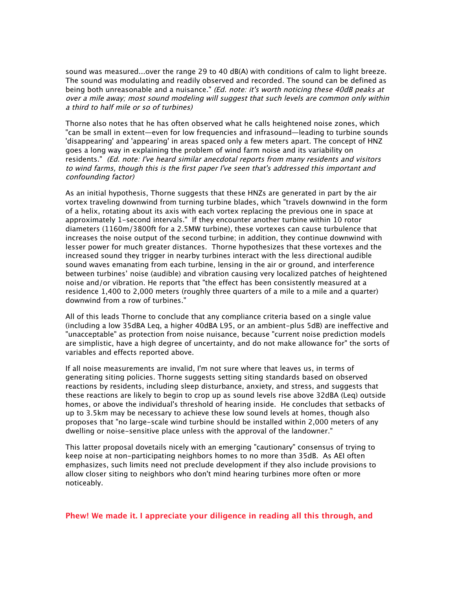sound was measured...over the range 29 to 40 dB(A) with conditions of calm to light breeze. The sound was modulating and readily observed and recorded. The sound can be defined as being both unreasonable and a nuisance." (Ed. note: it's worth noticing these 40dB peaks at over a mile away; most sound modeling will suggest that such levels are common only within a third to half mile or so of turbines)

Thorne also notes that he has often observed what he calls heightened noise zones, which "can be small in extent—even for low frequencies and infrasound—leading to turbine sounds 'disappearing' and 'appearing' in areas spaced only a few meters apart. The concept of HNZ goes a long way in explaining the problem of wind farm noise and its variability on residents." (Ed. note: I've heard similar anecdotal reports from many residents and visitors to wind farms, though this is the first paper I've seen that's addressed this important and confounding factor)

As an initial hypothesis, Thorne suggests that these HNZs are generated in part by the air vortex traveling downwind from turning turbine blades, which "travels downwind in the form of a helix, rotating about its axis with each vortex replacing the previous one in space at approximately 1-second intervals." If they encounter another turbine within 10 rotor diameters (1160m/3800ft for a 2.5MW turbine), these vortexes can cause turbulence that increases the noise output of the second turbine; in addition, they continue downwind with lesser power for much greater distances. Thorne hypothesizes that these vortexes and the increased sound they trigger in nearby turbines interact with the less directional audible sound waves emanating from each turbine, lensing in the air or ground, and interference between turbines' noise (audible) and vibration causing very localized patches of heightened noise and/or vibration. He reports that "the effect has been consistently measured at a residence 1,400 to 2,000 meters (roughly three quarters of a mile to a mile and a quarter) downwind from a row of turbines."

All of this leads Thorne to conclude that any compliance criteria based on a single value (including a low 35dBA Leq, a higher 40dBA L95, or an ambient-plus 5dB) are ineffective and "unacceptable" as protection from noise nuisance, because "current noise prediction models are simplistic, have a high degree of uncertainty, and do not make allowance for" the sorts of variables and effects reported above.

If all noise measurements are invalid, I'm not sure where that leaves us, in terms of generating siting policies. Thorne suggests setting siting standards based on observed reactions by residents, including sleep disturbance, anxiety, and stress, and suggests that these reactions are likely to begin to crop up as sound levels rise above 32dBA (Leq) outside homes, or above the individual's threshold of hearing inside. He concludes that setbacks of up to 3.5km may be necessary to achieve these low sound levels at homes, though also proposes that "no large-scale wind turbine should be installed within 2,000 meters of any dwelling or noise-sensitive place unless with the approval of the landowner."

This latter proposal dovetails nicely with an emerging "cautionary" consensus of trying to keep noise at non-participating neighbors homes to no more than 35dB. As AEI often emphasizes, such limits need not preclude development if they also include provisions to allow closer siting to neighbors who don't mind hearing turbines more often or more noticeably.

**Phew! We made it. I appreciate your diligence in reading all this through, and**